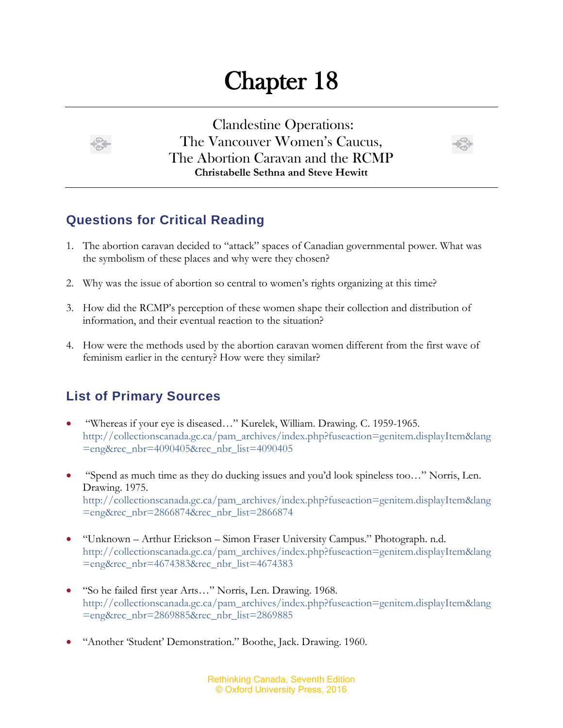## Chapter 18





## **Questions for Critical Reading**

- 1. The abortion caravan decided to "attack" spaces of Canadian governmental power. What was the symbolism of these places and why were they chosen?
- 2. Why was the issue of abortion so central to women's rights organizing at this time?
- 3. How did the RCMP's perception of these women shape their collection and distribution of information, and their eventual reaction to the situation?
- 4. How were the methods used by the abortion caravan women different from the first wave of feminism earlier in the century? How were they similar?

## **List of Primary Sources**

- "Whereas if your eye is diseased…" Kurelek, William. Drawing. C. 1959-1965. [http://collectionscanada.gc.ca/pam\\_archives/index.php?fuseaction=genitem.displayItem&lang](http://collectionscanada.gc.ca/pam_archives/index.php?fuseaction=genitem.displayItem&lang=eng&rec_nbr=4090405&rec_nbr_list=4090405) [=eng&rec\\_nbr=4090405&rec\\_nbr\\_list=4090405](http://collectionscanada.gc.ca/pam_archives/index.php?fuseaction=genitem.displayItem&lang=eng&rec_nbr=4090405&rec_nbr_list=4090405)
- "Spend as much time as they do ducking issues and you'd look spineless too…" Norris, Len. Drawing. 1975. [http://collectionscanada.gc.ca/pam\\_archives/index.php?fuseaction=genitem.displayItem&lang](http://collectionscanada.gc.ca/pam_archives/index.php?fuseaction=genitem.displayItem&lang=eng&rec_nbr=2866874&rec_nbr_list=2866874) [=eng&rec\\_nbr=2866874&rec\\_nbr\\_list=2866874](http://collectionscanada.gc.ca/pam_archives/index.php?fuseaction=genitem.displayItem&lang=eng&rec_nbr=2866874&rec_nbr_list=2866874)
- "Unknown Arthur Erickson Simon Fraser University Campus." Photograph. n.d. [http://collectionscanada.gc.ca/pam\\_archives/index.php?fuseaction=genitem.displayItem&lang](http://collectionscanada.gc.ca/pam_archives/index.php?fuseaction=genitem.displayItem&lang=eng&rec_nbr=4674383&rec_nbr_list=4674383) [=eng&rec\\_nbr=4674383&rec\\_nbr\\_list=4674383](http://collectionscanada.gc.ca/pam_archives/index.php?fuseaction=genitem.displayItem&lang=eng&rec_nbr=4674383&rec_nbr_list=4674383)
- "So he failed first year Arts…" Norris, Len. Drawing. 1968. [http://collectionscanada.gc.ca/pam\\_archives/index.php?fuseaction=genitem.displayItem&lang](http://collectionscanada.gc.ca/pam_archives/index.php?fuseaction=genitem.displayItem&lang=eng&rec_nbr=2869885&rec_nbr_list=2869885) [=eng&rec\\_nbr=2869885&rec\\_nbr\\_list=2869885](http://collectionscanada.gc.ca/pam_archives/index.php?fuseaction=genitem.displayItem&lang=eng&rec_nbr=2869885&rec_nbr_list=2869885)
- "Another 'Student' Demonstration." Boothe, Jack. Drawing. 1960.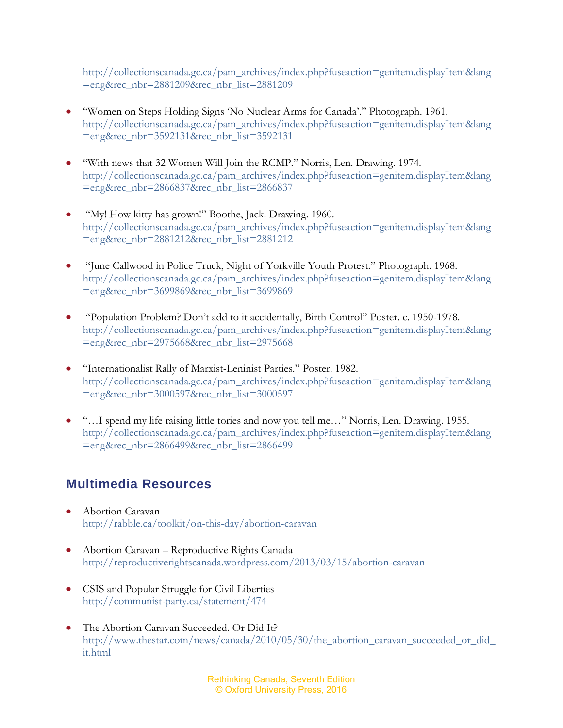[http://collectionscanada.gc.ca/pam\\_archives/index.php?fuseaction=genitem.displayItem&lang](http://collectionscanada.gc.ca/pam_archives/index.php?fuseaction=genitem.displayItem&lang=eng&rec_nbr=2881209&rec_nbr_list=2881209) [=eng&rec\\_nbr=2881209&rec\\_nbr\\_list=2881209](http://collectionscanada.gc.ca/pam_archives/index.php?fuseaction=genitem.displayItem&lang=eng&rec_nbr=2881209&rec_nbr_list=2881209)

- "Women on Steps Holding Signs 'No Nuclear Arms for Canada'." Photograph. 1961. [http://collectionscanada.gc.ca/pam\\_archives/index.php?fuseaction=genitem.displayItem&lang](http://collectionscanada.gc.ca/pam_archives/index.php?fuseaction=genitem.displayItem&lang=eng&rec_nbr=3592131&rec_nbr_list=3592131) [=eng&rec\\_nbr=3592131&rec\\_nbr\\_list=3592131](http://collectionscanada.gc.ca/pam_archives/index.php?fuseaction=genitem.displayItem&lang=eng&rec_nbr=3592131&rec_nbr_list=3592131)
- "With news that 32 Women Will Join the RCMP." Norris, Len. Drawing. 1974. [http://collectionscanada.gc.ca/pam\\_archives/index.php?fuseaction=genitem.displayItem&lang](http://collectionscanada.gc.ca/pam_archives/index.php?fuseaction=genitem.displayItem&lang=eng&rec_nbr=2866837&rec_nbr_list=2866837) [=eng&rec\\_nbr=2866837&rec\\_nbr\\_list=2866837](http://collectionscanada.gc.ca/pam_archives/index.php?fuseaction=genitem.displayItem&lang=eng&rec_nbr=2866837&rec_nbr_list=2866837)
- "My! How kitty has grown!" Boothe, Jack. Drawing. 1960. [http://collectionscanada.gc.ca/pam\\_archives/index.php?fuseaction=genitem.displayItem&lang](http://collectionscanada.gc.ca/pam_archives/index.php?fuseaction=genitem.displayItem&lang=eng&rec_nbr=2881212&rec_nbr_list=2881212) [=eng&rec\\_nbr=2881212&rec\\_nbr\\_list=2881212](http://collectionscanada.gc.ca/pam_archives/index.php?fuseaction=genitem.displayItem&lang=eng&rec_nbr=2881212&rec_nbr_list=2881212)
- "June Callwood in Police Truck, Night of Yorkville Youth Protest." Photograph. 1968. [http://collectionscanada.gc.ca/pam\\_archives/index.php?fuseaction=genitem.displayItem&lang](http://collectionscanada.gc.ca/pam_archives/index.php?fuseaction=genitem.displayItem&lang=eng&rec_nbr=3699869&rec_nbr_list=3699869) [=eng&rec\\_nbr=3699869&rec\\_nbr\\_list=3699869](http://collectionscanada.gc.ca/pam_archives/index.php?fuseaction=genitem.displayItem&lang=eng&rec_nbr=3699869&rec_nbr_list=3699869)
- "Population Problem? Don't add to it accidentally, Birth Control" Poster. c. 1950-1978. [http://collectionscanada.gc.ca/pam\\_archives/index.php?fuseaction=genitem.displayItem&lang](http://collectionscanada.gc.ca/pam_archives/index.php?fuseaction=genitem.displayItem&lang=eng&rec_nbr=2975668&rec_nbr_list=2975668) [=eng&rec\\_nbr=2975668&rec\\_nbr\\_list=2975668](http://collectionscanada.gc.ca/pam_archives/index.php?fuseaction=genitem.displayItem&lang=eng&rec_nbr=2975668&rec_nbr_list=2975668)
- "Internationalist Rally of Marxist-Leninist Parties." Poster. 1982. [http://collectionscanada.gc.ca/pam\\_archives/index.php?fuseaction=genitem.displayItem&lang](http://collectionscanada.gc.ca/pam_archives/index.php?fuseaction=genitem.displayItem&lang=eng&rec_nbr=3000597&rec_nbr_list=3000597) [=eng&rec\\_nbr=3000597&rec\\_nbr\\_list=3000597](http://collectionscanada.gc.ca/pam_archives/index.php?fuseaction=genitem.displayItem&lang=eng&rec_nbr=3000597&rec_nbr_list=3000597)
- "…I spend my life raising little tories and now you tell me…" Norris, Len. Drawing. 1955. [http://collectionscanada.gc.ca/pam\\_archives/index.php?fuseaction=genitem.displayItem&lang](http://collectionscanada.gc.ca/pam_archives/index.php?fuseaction=genitem.displayItem&lang=eng&rec_nbr=2866499&rec_nbr_list=2866499) [=eng&rec\\_nbr=2866499&rec\\_nbr\\_list=2866499](http://collectionscanada.gc.ca/pam_archives/index.php?fuseaction=genitem.displayItem&lang=eng&rec_nbr=2866499&rec_nbr_list=2866499)

## **Multimedia Resources**

- Abortion Caravan <http://rabble.ca/toolkit/on-this-day/abortion-caravan>
- Abortion Caravan Reproductive Rights Canada <http://reproductiverightscanada.wordpress.com/2013/03/15/abortion-caravan>
- CSIS and Popular Struggle for Civil Liberties <http://communist-party.ca/statement/474>
- The Abortion Caravan Succeeded. Or Did It? [http://www.thestar.com/news/canada/2010/05/30/the\\_abortion\\_caravan\\_succeeded\\_or\\_did\\_](http://www.thestar.com/news/canada/2010/05/30/the_abortion_caravan_succeeded_or_did_it.html) [it.html](http://www.thestar.com/news/canada/2010/05/30/the_abortion_caravan_succeeded_or_did_it.html)

Rethinking Canada, Seventh Edition © Oxford University Press, 2016